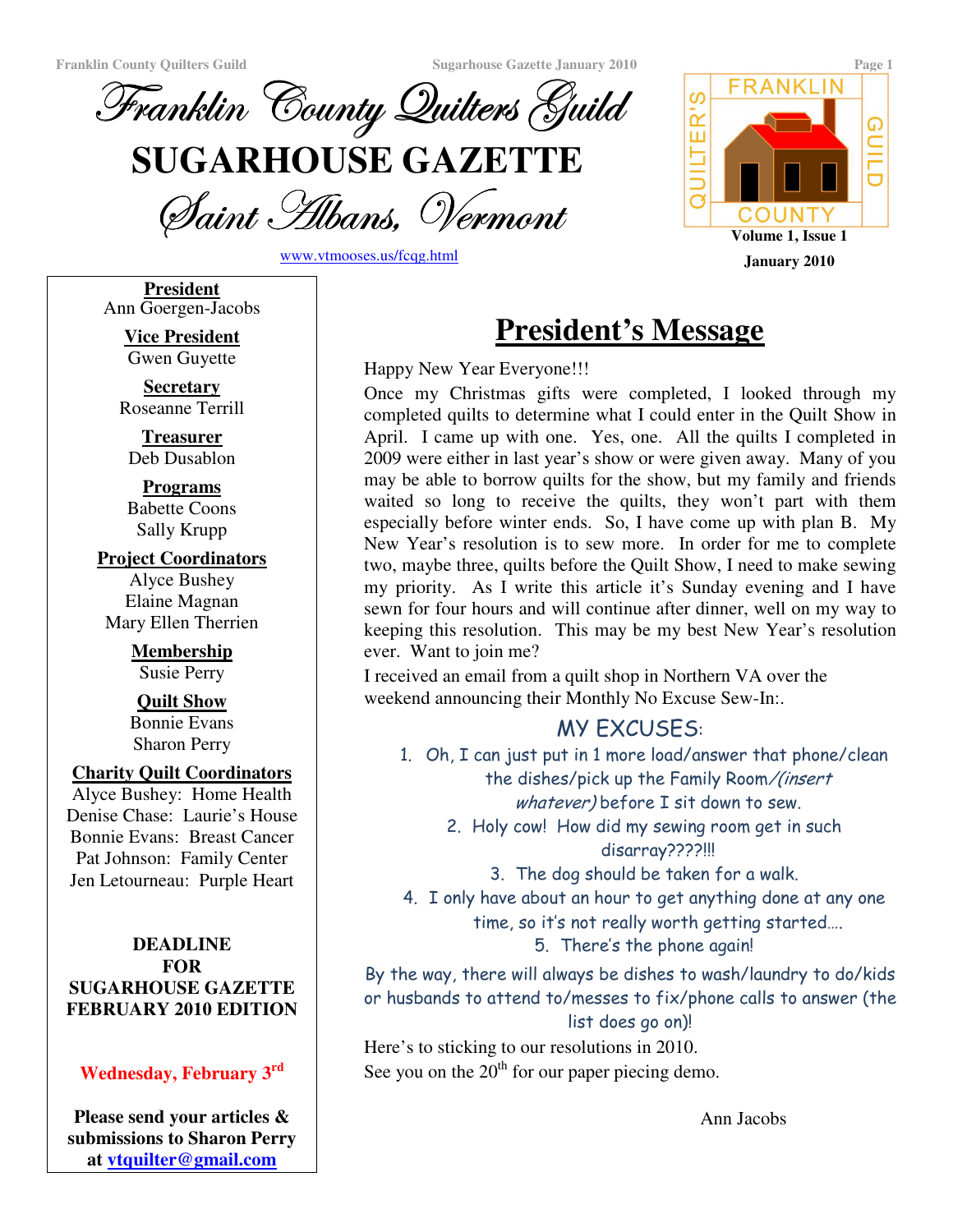**Franklin County Quilters Guild Sugarhouse Gazette January 2010 Page 1**



**SUGARHOUSE GAZETTE**

Saint Albans, Vermoni

www.vtmooses.us/fcqg.html



**January 2010**

**President** Ann Goergen-Jacobs

> **Vice President** Gwen Guyette

**Secretary** Roseanne Terrill

**Treasurer** Deb Dusablon

**Programs** Babette Coons Sally Krupp

**Project Coordinators** Alyce Bushey

Elaine Magnan Mary Ellen Therrien

> **Membership** Susie Perry

> **Quilt Show** Bonnie Evans Sharon Perry

### **Charity Quilt Coordinators**

Alyce Bushey: Home Health Denise Chase: Laurie's House Bonnie Evans: Breast Cancer Pat Johnson: Family Center Jen Letourneau: Purple Heart

## **DEADLINE FOR SUGARHOUSE GAZETTE FEBRUARY 2010 EDITION**

## **Wednesday, February 3 rd**

**Please send your articles & submissions to Sharon Perry at vtquilter@gmail.com**

# **President's Message**

Happy New Year Everyone!!!

Once my Christmas gifts were completed, I looked through my completed quilts to determine what I could enter in the Quilt Show in April. I came up with one. Yes, one. All the quilts I completed in 2009 were either in last year's show or were given away. Many of you may be able to borrow quilts for the show, but my family and friends waited so long to receive the quilts, they won't part with them especially before winter ends. So, I have come up with plan B. My New Year's resolution is to sew more. In order for me to complete two, maybe three, quilts before the Quilt Show, I need to make sewing my priority. As I write this article it's Sunday evening and I have sewn for four hours and will continue after dinner, well on my way to keeping this resolution. This may be my best New Year's resolution ever. Want to join me?

I received an email from a quilt shop in Northern VA over the weekend announcing their Monthly No Excuse Sew-In:.

# MY EXCUSES:

- 1.Oh, I can just put in 1 more load/answer that phone/clean the dishes/pick up the Family Room/(insert whatever) before I sit down to sew.
	- 2. Holy cow! How did my sewing room get in such disarray????!!!

3. The dog should be taken for a walk.

4. I only have about an hour to get anything done at any one time, so it's not really worth getting started....

5. There's the phone again!

By the way, there will always be dishes to wash/laundry to do/kids or husbands to attend to/messes to fix/phone calls to answer (the list does go on)!

Here's to sticking to our resolutions in 2010. See you on the  $20<sup>th</sup>$  for our paper piecing demo.

Ann Jacobs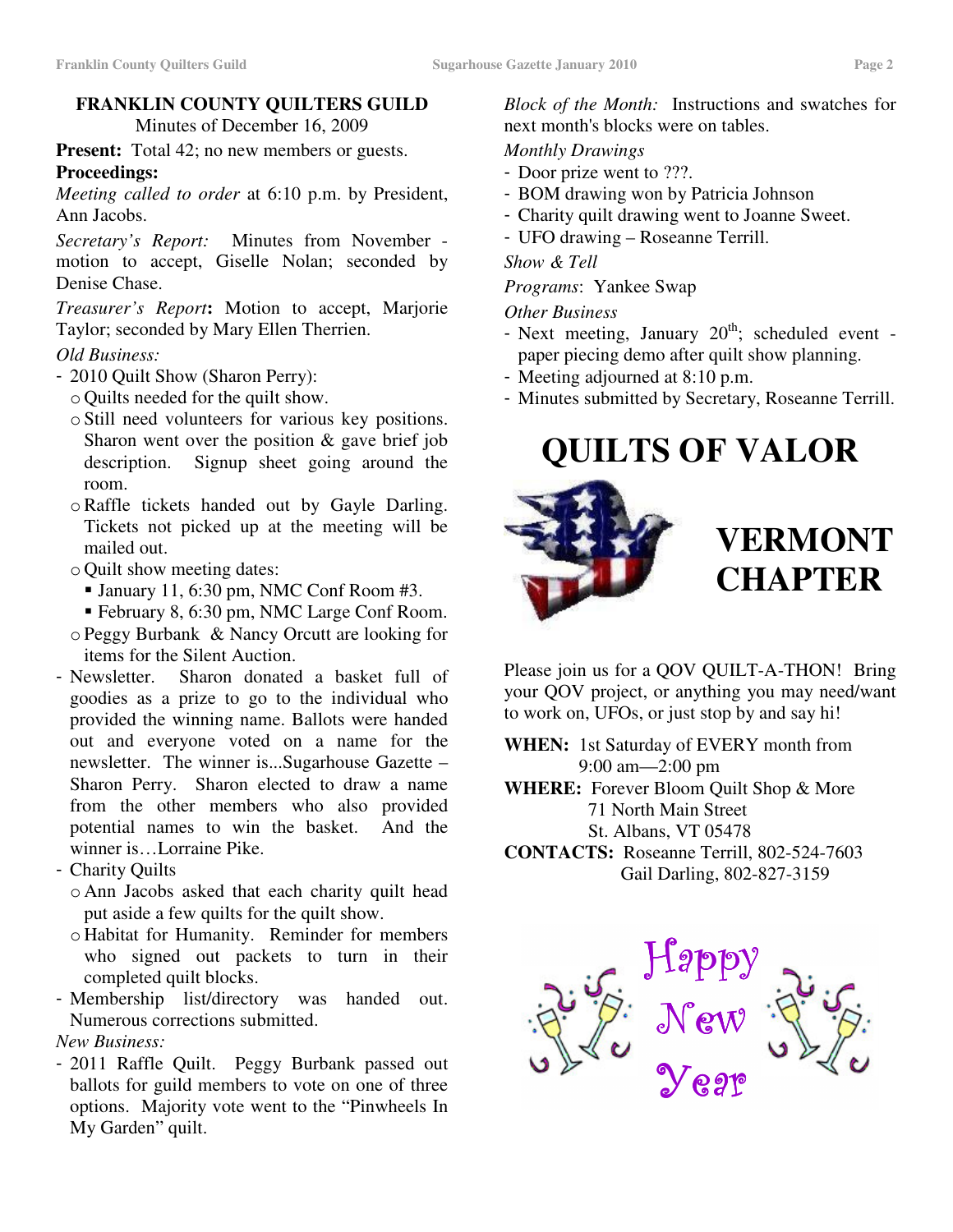## **FRANKLIN COUNTY QUILTERS GUILD**

Minutes of December 16, 2009

**Present:** Total 42; no new members or guests. **Proceedings:**

*Meeting called to order* at 6:10 p.m. by President, Ann Jacobs.

*Secretary's Report:* Minutes from November motion to accept, Giselle Nolan; seconded by Denise Chase.

*Treasurer's Report***:** Motion to accept, Marjorie Taylor; seconded by Mary Ellen Therrien.

## *Old Business:*

- 2010 Quilt Show (Sharon Perry):
	- o Quilts needed for the quilt show.
	- o Still need volunteers for various key positions. Sharon went over the position & gave brief job description. Signup sheet going around the room.
	- oRaffle tickets handed out by Gayle Darling. Tickets not picked up at the meeting will be mailed out.
	- o Quilt show meeting dates:
		- January 11, 6:30 pm, NMC Conf Room #3.
	- February 8, 6:30 pm, NMC Large Conf Room.
	- o Peggy Burbank & Nancy Orcutt are looking for items for the Silent Auction.
- Newsletter. Sharon donated a basket full of goodies as a prize to go to the individual who provided the winning name. Ballots were handed out and everyone voted on a name for the newsletter. The winner is...Sugarhouse Gazette – Sharon Perry. Sharon elected to draw a name from the other members who also provided potential names to win the basket. And the winner is…Lorraine Pike.
- Charity Quilts
	- o Ann Jacobs asked that each charity quilt head put aside a few quilts for the quilt show.
	- o Habitat for Humanity. Reminder for members who signed out packets to turn in their completed quilt blocks.
- Membership list/directory was handed out. Numerous corrections submitted.

## *New Business:*

- 2011 Raffle Quilt. Peggy Burbank passed out ballots for guild members to vote on one of three options. Majority vote went to the "Pinwheels In My Garden" quilt.

*Block of the Month:* Instructions and swatches for next month's blocks were on tables.

*Monthly Drawings*

- Door prize went to ???.
- BOM drawing won by Patricia Johnson
- Charity quilt drawing went to Joanne Sweet.
- UFO drawing Roseanne Terrill.

## *Show & Tell*

*Programs*: Yankee Swap

## *Other Business*

- Next meeting, January  $20^{th}$ ; scheduled event paper piecing demo after quilt show planning.
- Meeting adjourned at 8:10 p.m.
- Minutes submitted by Secretary, Roseanne Terrill.

# **QUILTS OF VALOR**



# **VERMONT CHAPTER**

Please join us for a QOV QUILT-A-THON! Bring your QOV project, or anything you may need/want to work on, UFOs, or just stop by and say hi!

**WHEN:** 1st Saturday of EVERY month from 9:00 am—2:00 pm

**WHERE:** Forever Bloom Quilt Shop & More 71 North Main Street

St. Albans, VT 05478

**CONTACTS:** Roseanne Terrill, 802-524-7603 Gail Darling, 802-827-3159

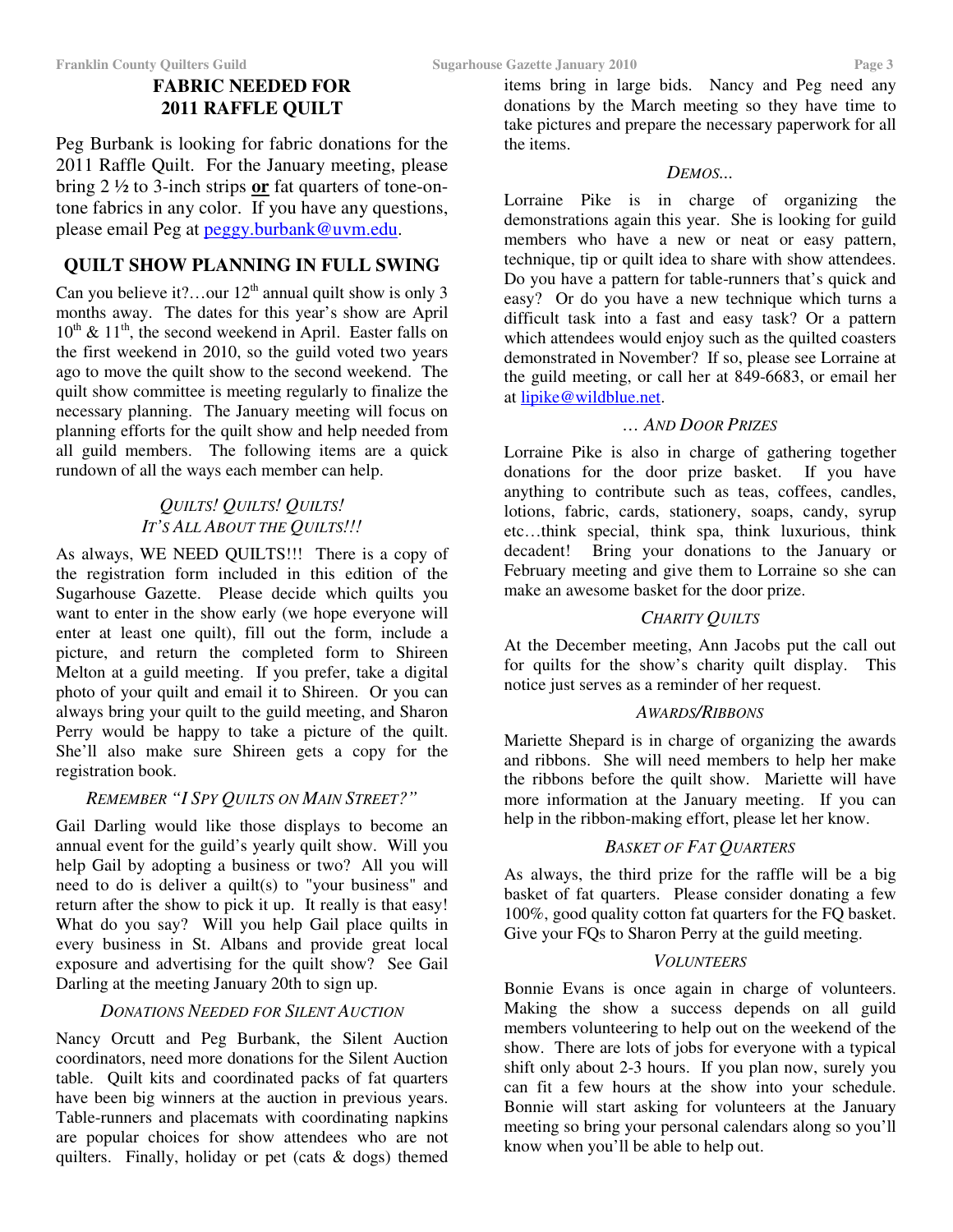### **FABRIC NEEDED FOR 2011 RAFFLE QUILT**

Peg Burbank is looking for fabric donations for the 2011 Raffle Quilt. For the January meeting, please bring 2 ½ to 3-inch strips **or** fat quarters of tone-ontone fabrics in any color. If you have any questions, please email Peg at peggy.burbank@uvm.edu.

#### **QUILT SHOW PLANNING IN FULL SWING**

Can you believe it?...our  $12<sup>th</sup>$  annual quilt show is only 3 months away. The dates for this year's show are April  $10^{th}$  &  $11^{th}$ , the second weekend in April. Easter falls on the first weekend in 2010, so the guild voted two years ago to move the quilt show to the second weekend. The quilt show committee is meeting regularly to finalize the necessary planning. The January meeting will focus on planning efforts for the quilt show and help needed from all guild members. The following items are a quick rundown of all the ways each member can help.

### *QUILTS! QUILTS! QUILTS! IT'S ALL ABOUT THE QUILTS!!!*

As always, WE NEED QUILTS!!! There is a copy of the registration form included in this edition of the Sugarhouse Gazette. Please decide which quilts you want to enter in the show early (we hope everyone will enter at least one quilt), fill out the form, include a picture, and return the completed form to Shireen Melton at a guild meeting. If you prefer, take a digital photo of your quilt and email it to Shireen. Or you can always bring your quilt to the guild meeting, and Sharon Perry would be happy to take a picture of the quilt. She'll also make sure Shireen gets a copy for the registration book.

#### *REMEMBER "I SPY QUILTS ON MAIN STREET?"*

Gail Darling would like those displays to become an annual event for the guild's yearly quilt show. Will you help Gail by adopting a business or two? All you will need to do is deliver a quilt(s) to "your business" and return after the show to pick it up. It really is that easy! What do you say? Will you help Gail place quilts in every business in St. Albans and provide great local exposure and advertising for the quilt show? See Gail Darling at the meeting January 20th to sign up.

#### *DONATIONS NEEDED FOR SILENT AUCTION*

Nancy Orcutt and Peg Burbank, the Silent Auction coordinators, need more donations for the Silent Auction table. Quilt kits and coordinated packs of fat quarters have been big winners at the auction in previous years. Table-runners and placemats with coordinating napkins are popular choices for show attendees who are not quilters. Finally, holiday or pet (cats & dogs) themed items bring in large bids. Nancy and Peg need any donations by the March meeting so they have time to take pictures and prepare the necessary paperwork for all the items.

#### *DEMOS...*

Lorraine Pike is in charge of organizing the demonstrations again this year. She is looking for guild members who have a new or neat or easy pattern, technique, tip or quilt idea to share with show attendees. Do you have a pattern for table-runners that's quick and easy? Or do you have a new technique which turns a difficult task into a fast and easy task? Or a pattern which attendees would enjoy such as the quilted coasters demonstrated in November? If so, please see Lorraine at the guild meeting, or call her at 849-6683, or email her at lipike@wildblue.net.

#### *… AND DOOR PRIZES*

Lorraine Pike is also in charge of gathering together donations for the door prize basket. If you have anything to contribute such as teas, coffees, candles, lotions, fabric, cards, stationery, soaps, candy, syrup etc…think special, think spa, think luxurious, think decadent! Bring your donations to the January or February meeting and give them to Lorraine so she can make an awesome basket for the door prize.

#### *CHARITY QUILTS*

At the December meeting, Ann Jacobs put the call out for quilts for the show's charity quilt display. This notice just serves as a reminder of her request.

#### *AWARDS/RIBBONS*

Mariette Shepard is in charge of organizing the awards and ribbons. She will need members to help her make the ribbons before the quilt show. Mariette will have more information at the January meeting. If you can help in the ribbon-making effort, please let her know.

#### *BASKET OF FAT QUARTERS*

As always, the third prize for the raffle will be a big basket of fat quarters. Please consider donating a few 100%, good quality cotton fat quarters for the FQ basket. Give your FQs to Sharon Perry at the guild meeting.

#### *VOLUNTEERS*

Bonnie Evans is once again in charge of volunteers. Making the show a success depends on all guild members volunteering to help out on the weekend of the show. There are lots of jobs for everyone with a typical shift only about 2-3 hours. If you plan now, surely you can fit a few hours at the show into your schedule. Bonnie will start asking for volunteers at the January meeting so bring your personal calendars along so you'll know when you'll be able to help out.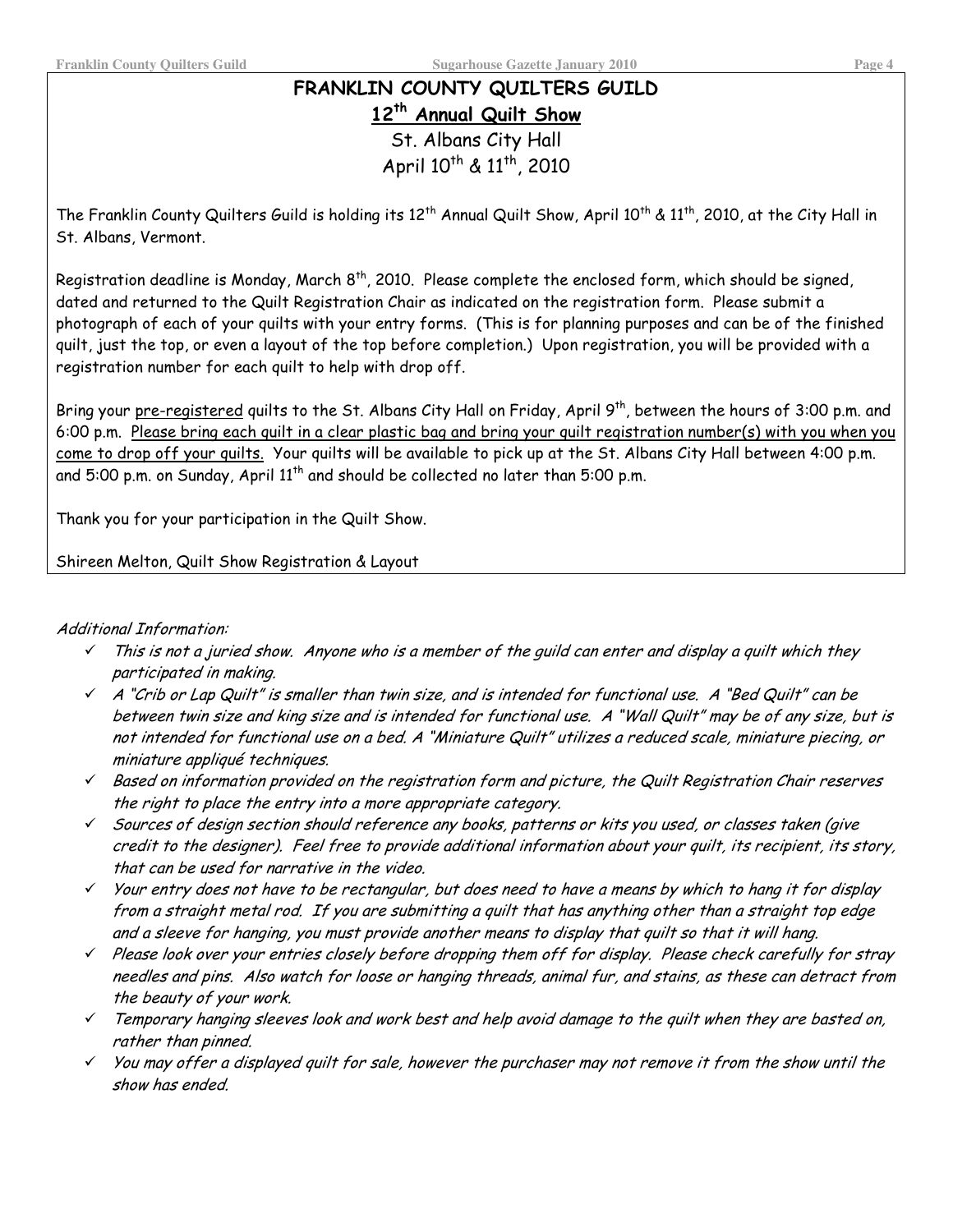## FRANKLIN COUNTY QUILTERS GUILD 12<sup>th</sup> Annual Quilt Show St. Albans City Hall

April 10<sup>th</sup> & 11<sup>th</sup>, 2010

The Franklin County Quilters Guild is holding its 12th Annual Quilt Show, April 10th & 11th, 2010, at the City Hall in St. Albans, Vermont.

Registration deadline is Monday, March  $8^{\text{th}}$ , 2010. Please complete the enclosed form, which should be signed, dated and returned to the Quilt Registration Chair as indicated on the registration form. Please submit a photograph of each of your quilts with your entry forms. (This is for planning purposes and can be of the finished quilt, just the top, or even a layout of the top before completion.) Upon registration, you will be provided with a registration number for each quilt to help with drop off.

Bring your <u>pre-registered</u> quilts to the St. Albans City Hall on Friday, April 9<sup>th</sup>, between the hours of 3:00 p.m. and 6:00 p.m. Please bring each quilt in a clear plastic bag and bring your quilt registration number(s) with you when you <u>come to drop off your quilts.</u> Your quilts will be available to pick up at the St. Albans City Hall between 4:00 p.m. and 5:00 p.m. on Sunday, April  $11^{\text{th}}$  and should be collected no later than 5:00 p.m.

Thank you for your participation in the Quilt Show.

Shireen Melton, Quilt Show Registration & Layout

#### Additional Information:

- $\checkmark$ This is not a juried show. Anyone who is a member of the quild can enter and display a quilt which they participated in making.
- $\checkmark$  A "Crib or Lap Quilt" is smaller than twin size, and is intended for functional use. A "Bed Quilt" can be between twin size and king size and is intended for functional use. A "Wall Quilt" may be of any size, but is not intended for functional use on a bed. A "Miniature Quilt" utilizes a reduced scale, miniature piecing, or miniature appliqué techniques.
- $\checkmark$  Based on information provided on the registration form and picture, the Quilt Registration Chair reserves the right to place the entry into a more appropriate category.
- $\checkmark$  Sources of design section should reference any books, patterns or kits you used, or classes taken (give credit to the designer). Feel free to provide additional information about your quilt, its recipient, its story, that can be used for narrative in the video.
- $\checkmark$  Your entry does not have to be rectangular, but does need to have a means by which to hang it for display from a straight metal rod. If you are submitting a quilt that has anything other than a straight top edge and a sleeve for hanging, you must provide another means to display that quilt so that it will hang.
- $\checkmark$  Please look over your entries closely before dropping them off for display. Please check carefully for stray needles and pins. Also watch for loose or hanging threads, animal fur, and stains, as these can detract from the beauty of your work.
- $\checkmark$  Temporary hanging sleeves look and work best and help avoid damage to the quilt when they are basted on, rather than pinned.
- $\checkmark$  You may offer a displayed quilt for sale, however the purchaser may not remove it from the show until the show has ended.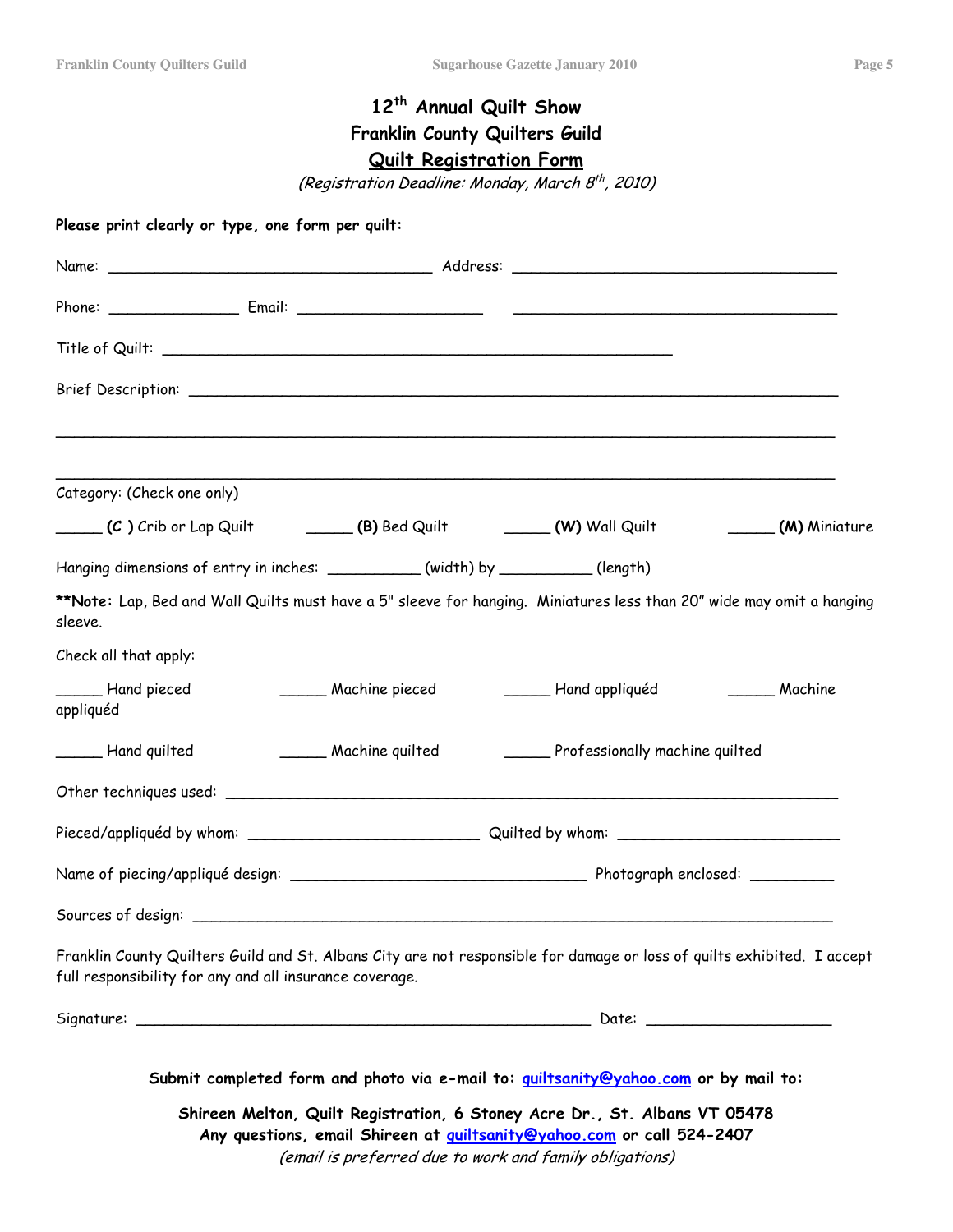## 12<sup>th</sup> Annual Quilt Show Franklin County Quilters Guild <u>Quilt Registration Forn</u>

(Registration Deadline: Monday, March 8<sup>th</sup>, 2010)

| Category: (Check one only)                                                                                                                                                         |  |                                                                                                                                                                                                                        |               |
|------------------------------------------------------------------------------------------------------------------------------------------------------------------------------------|--|------------------------------------------------------------------------------------------------------------------------------------------------------------------------------------------------------------------------|---------------|
| (C) Crib or Lap Quilt (B) Bed Quilt (W) Wall Quilt                                                                                                                                 |  |                                                                                                                                                                                                                        | (M) Miniature |
| Hanging dimensions of entry in inches: ___________(width) by _________(length)                                                                                                     |  |                                                                                                                                                                                                                        |               |
| **Note: Lap, Bed and Wall Quilts must have a 5" sleeve for hanging. Miniatures less than 20" wide may omit a hanging<br>sleeve.                                                    |  |                                                                                                                                                                                                                        |               |
| Check all that apply:                                                                                                                                                              |  |                                                                                                                                                                                                                        |               |
| Hand pieced<br>appliquéd                                                                                                                                                           |  |                                                                                                                                                                                                                        | Machine       |
| Hand quilted                                                                                                                                                                       |  | Machine quilted Machine quilted Professionally machine quilted                                                                                                                                                         |               |
|                                                                                                                                                                                    |  |                                                                                                                                                                                                                        |               |
|                                                                                                                                                                                    |  |                                                                                                                                                                                                                        |               |
|                                                                                                                                                                                    |  |                                                                                                                                                                                                                        |               |
|                                                                                                                                                                                    |  |                                                                                                                                                                                                                        |               |
| Franklin County Quilters Guild and St. Albans City are not responsible for damage or loss of quilts exhibited. I accept<br>full responsibility for any and all insurance coverage. |  |                                                                                                                                                                                                                        |               |
|                                                                                                                                                                                    |  |                                                                                                                                                                                                                        |               |
|                                                                                                                                                                                    |  | Submit completed form and photo via e-mail to: quiltsanity@yahoo.com or by mail to:                                                                                                                                    |               |
|                                                                                                                                                                                    |  | Shireen Melton, Quilt Registration, 6 Stoney Acre Dr., St. Albans VT 05478<br>Any questions, email Shireen at <i>guiltsanity@yahoo.com</i> or call 524-2407<br>(email is preferred due to work and family obligations) |               |